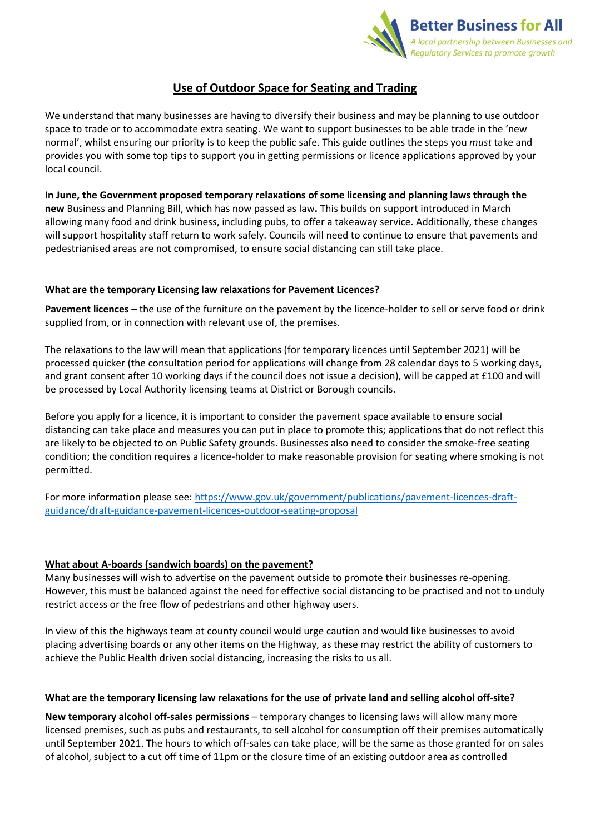

# **Use of Outdoor Space for Seating and Trading**

We understand that many businesses are having to diversify their business and may be planning to use outdoor space to trade or to accommodate extra seating. We want to support businesses to be able trade in the 'new normal', whilst ensuring our priority is to keep the public safe. This guide outlines the steps you *must* take and provides you with some top tips to support you in getting permissions or licence applications approved by your local council.

**In June, the Government proposed temporary relaxations of some licensing and planning laws through the new** [Business and Planning Bill,](https://publications.parliament.uk/pa/bills/cbill/58-01/0148/200148.pdf) which has now passed as law**.** This builds on support introduced in March allowing many food and drink business, including pubs, to offer a takeaway service. Additionally, these changes will support hospitality staff return to work safely. Councils will need to continue to ensure that pavements and pedestrianised areas are not compromised, to ensure social distancing can still take place.

## **What are the temporary Licensing law relaxations for Pavement Licences?**

**Pavement licences** – the use of the furniture on the pavement by the licence-holder to sell or serve food or drink supplied from, or in connection with relevant use of, the premises.

The relaxations to the law will mean that applications (for temporary licences until September 2021) will be processed quicker (the consultation period for applications will change from 28 calendar days to 5 working days, and grant consent after 10 working days if the council does not issue a decision), will be capped at £100 and will be processed by Local Authority licensing teams at District or Borough councils.

Before you apply for a licence, it is important to consider the pavement space available to ensure social distancing can take place and measures you can put in place to promote this; applications that do not reflect this are likely to be objected to on Public Safety grounds. Businesses also need to consider the smoke-free seating condition; the condition requires a licence-holder to make reasonable provision for seating where smoking is not permitted.

For more information please see: [https://www.gov.uk/government/publications/pavement-licences-draft](https://www.gov.uk/government/publications/pavement-licences-draft-guidance/draft-guidance-pavement-licences-outdoor-seating-proposal)[guidance/draft-guidance-pavement-licences-outdoor-seating-proposal](https://www.gov.uk/government/publications/pavement-licences-draft-guidance/draft-guidance-pavement-licences-outdoor-seating-proposal)

# **What about A-boards (sandwich boards) on the pavement?**

Many businesses will wish to advertise on the pavement outside to promote their businesses re-opening. However, this must be balanced against the need for effective social distancing to be practised and not to unduly restrict access or the free flow of pedestrians and other highway users.

In view of this the highways team at county council would urge caution and would like businesses to avoid placing advertising boards or any other items on the Highway, as these may restrict the ability of customers to achieve the Public Health driven social distancing, increasing the risks to us all.

### **What are the temporary licensing law relaxations for the use of private land and selling alcohol off-site?**

**New temporary alcohol off-sales permissions** – temporary changes to licensing laws will allow many more licensed premises, such as pubs and restaurants, to sell alcohol for consumption off their premises automatically until September 2021. The hours to which off-sales can take place, will be the same as those granted for on sales of alcohol, subject to a cut off time of 11pm or the closure time of an existing outdoor area as controlled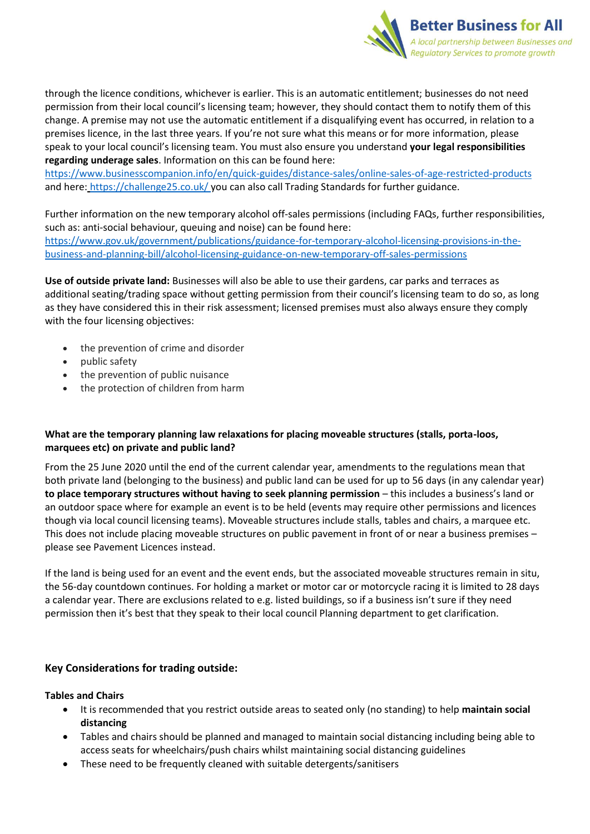

through the licence conditions, whichever is earlier. This is an automatic entitlement; businesses do not need permission from their local council's licensing team; however, they should contact them to notify them of this change. A premise may not use the automatic entitlement if a disqualifying event has occurred, in relation to a premises licence, in the last three years. If you're not sure what this means or for more information, please speak to your local council's licensing team. You must also ensure you understand **your legal responsibilities regarding underage sales**. Information on this can be found here:

<https://www.businesscompanion.info/en/quick-guides/distance-sales/online-sales-of-age-restricted-products> and here: <https://challenge25.co.uk/> you can also call Trading Standards for further guidance.

Further information on the new temporary alcohol off-sales permissions (including FAQs, further responsibilities, such as: anti-social behaviour, queuing and noise) can be found here: [https://www.gov.uk/government/publications/guidance-for-temporary-alcohol-licensing-provisions-in-the](https://www.gov.uk/government/publications/guidance-for-temporary-alcohol-licensing-provisions-in-the-business-and-planning-bill/alcohol-licensing-guidance-on-new-temporary-off-sales-permissions)[business-and-planning-bill/alcohol-licensing-guidance-on-new-temporary-off-sales-permissions](https://www.gov.uk/government/publications/guidance-for-temporary-alcohol-licensing-provisions-in-the-business-and-planning-bill/alcohol-licensing-guidance-on-new-temporary-off-sales-permissions)

**Use of outside private land:** Businesses will also be able to use their gardens, car parks and terraces as additional seating/trading space without getting permission from their council's licensing team to do so, as long as they have considered this in their risk assessment; licensed premises must also always ensure they comply with the four licensing objectives:

- the prevention of crime and disorder
- public safety
- the prevention of public nuisance
- the protection of children from harm

## **What are the temporary planning law relaxations for placing moveable structures (stalls, porta-loos, marquees etc) on private and public land?**

From the 25 June 2020 until the end of the current calendar year, amendments to the regulations mean that both private land (belonging to the business) and public land can be used for up to 56 days (in any calendar year) **to place temporary structures without having to seek planning permission – this includes a business's land or** an outdoor space where for example an event is to be held (events may require other permissions and licences though via local council licensing teams). Moveable structures include stalls, tables and chairs, a marquee etc. This does not include placing moveable structures on public pavement in front of or near a business premises – please see Pavement Licences instead.

If the land is being used for an event and the event ends, but the associated moveable structures remain in situ, the 56-day countdown continues. For holding a market or motor car or motorcycle racing it is limited to 28 days a calendar year. There are exclusions related to e.g. listed buildings, so if a business isn't sure if they need permission then it's best that they speak to their local council Planning department to get clarification.

# **Key Considerations for trading outside:**

### **Tables and Chairs**

- It is recommended that you restrict outside areas to seated only (no standing) to help **maintain social distancing**
- Tables and chairs should be planned and managed to maintain social distancing including being able to access seats for wheelchairs/push chairs whilst maintaining social distancing guidelines
- These need to be frequently cleaned with suitable detergents/sanitisers